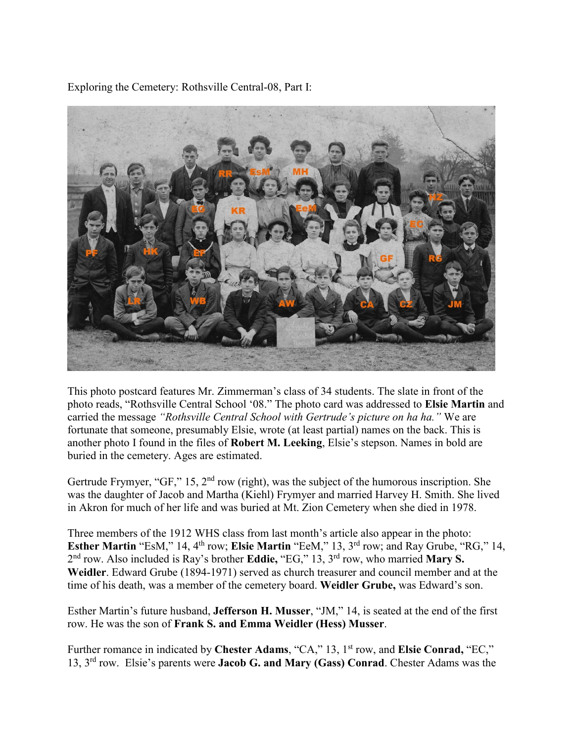Exploring the Cemetery: Rothsville Central-08, Part I:



This photo postcard features Mr. Zimmerman's class of 34 students. The slate in front of the photo reads, "Rothsville Central School '08." The photo card was addressed to **Elsie Martin** and carried the message *"Rothsville Central School with Gertrude's picture on ha ha."* We are fortunate that someone, presumably Elsie, wrote (at least partial) names on the back. This is another photo I found in the files of **Robert M. Leeking**, Elsie's stepson. Names in bold are buried in the cemetery. Ages are estimated.

Gertrude Frymyer, "GF," 15,  $2<sup>nd</sup>$  row (right), was the subject of the humorous inscription. She was the daughter of Jacob and Martha (Kiehl) Frymyer and married Harvey H. Smith. She lived in Akron for much of her life and was buried at Mt. Zion Cemetery when she died in 1978.

Three members of the 1912 WHS class from last month's article also appear in the photo: **Esther Martin** "EsM," 14, 4<sup>th</sup> row; **Elsie Martin** "EeM," 13, 3<sup>rd</sup> row; and Ray Grube, "RG," 14, 2 nd row. Also included is Ray's brother **Eddie,** "EG," 13, 3 rd row, who married **Mary S. Weidler**. Edward Grube (1894-1971) served as church treasurer and council member and at the time of his death, was a member of the cemetery board. **Weidler Grube,** was Edward's son.

Esther Martin's future husband, **Jefferson H. Musser**, "JM," 14, is seated at the end of the first row. He was the son of **Frank S. and Emma Weidler (Hess) Musser**.

Further romance in indicated by Chester Adams, "CA," 13, 1<sup>st</sup> row, and Elsie Conrad, "EC," 13, 3rd row. Elsie's parents were **Jacob G. and Mary (Gass) Conrad**. Chester Adams was the